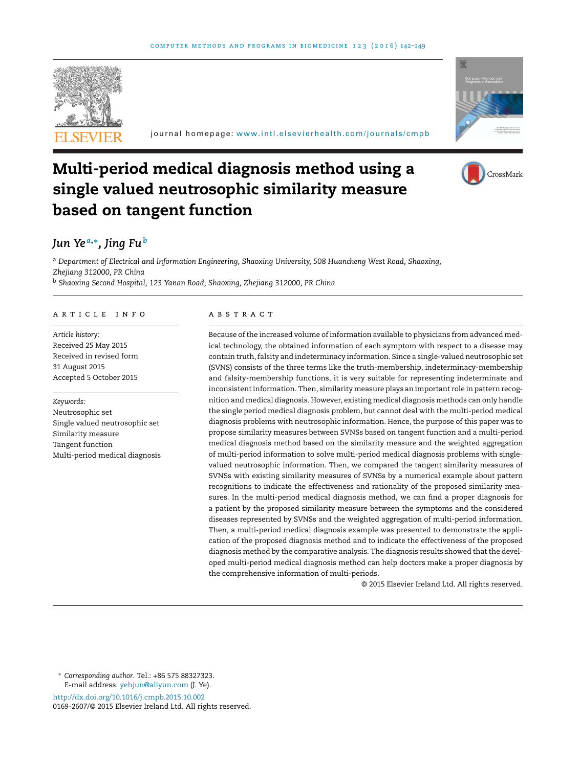



# journal homepage: <www.intl.elsevierhealth.com/journals/cmpb>

# **Multi-period medical diagnosis method using a single valued neutrosophic similarity measure based on tangent function**



# *Jun Ye <sup>a</sup>***,∗***, Jing Fu<sup>b</sup>*

<sup>a</sup> *Department of Electrical and Information Engineering, Shaoxing University, 508 Huancheng West Road, Shaoxing, Zhejiang 312000, PR China* <sup>b</sup> *Shaoxing Second Hospital, 123 Yanan Road, Shaoxing, Zhejiang 312000, PR China*

#### a r t i c l e i n f o

*Article history:* Received 25 May 2015 Received in revised form 31 August 2015 Accepted 5 October 2015

*Keywords:* Neutrosophic set Single valued neutrosophic set Similarity measure Tangent function Multi-period medical diagnosis

#### a b s t r a c t

Because of the increased volume of information available to physicians from advanced medical technology, the obtained information of each symptom with respect to a disease may contain truth, falsity and indeterminacy information. Since a single-valued neutrosophic set (SVNS) consists of the three terms like the truth-membership, indeterminacy-membership and falsity-membership functions, it is very suitable for representing indeterminate and inconsistentinformation. Then, similarity measure plays an important role in pattern recognition and medical diagnosis. However, existing medical diagnosis methods can only handle the single period medical diagnosis problem, but cannot deal with the multi-period medical diagnosis problems with neutrosophic information. Hence, the purpose of this paper was to propose similarity measures between SVNSs based on tangent function and a multi-period medical diagnosis method based on the similarity measure and the weighted aggregation of multi-period information to solve multi-period medical diagnosis problems with singlevalued neutrosophic information. Then, we compared the tangent similarity measures of SVNSs with existing similarity measures of SVNSs by a numerical example about pattern recognitions to indicate the effectiveness and rationality of the proposed similarity measures. In the multi-period medical diagnosis method, we can find a proper diagnosis for a patient by the proposed similarity measure between the symptoms and the considered diseases represented by SVNSs and the weighted aggregation of multi-period information. Then, a multi-period medical diagnosis example was presented to demonstrate the application of the proposed diagnosis method and to indicate the effectiveness of the proposed diagnosis method by the comparative analysis. The diagnosis results showed that the developed multi-period medical diagnosis method can help doctors make a proper diagnosis by the comprehensive information of multi-periods.

© 2015 Elsevier Ireland Ltd. All rights reserved.

∗ *Corresponding author*. Tel.: +86 575 88327323. E-mail address: [yehjun@aliyun.com](mailto:yehjun@aliyun.com) (J. Ye). [http://dx.doi.org/10.1016/j.cmpb.2015.10.002](dx.doi.org/10.1016/j.cmpb.2015.10.002)

0169-2607/© 2015 Elsevier Ireland Ltd. All rights reserved.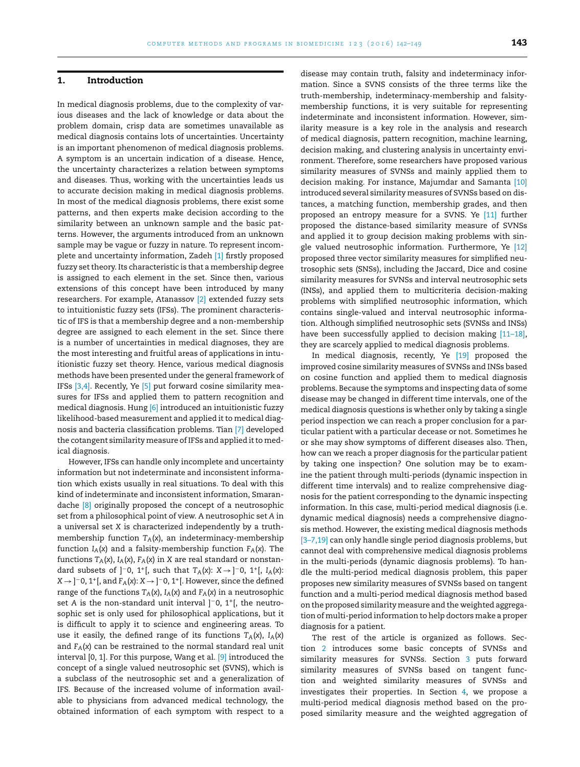#### **1. Introduction**

In medical diagnosis problems, due to the complexity of various diseases and the lack of knowledge or data about the problem domain, crisp data are sometimes unavailable as medical diagnosis contains lots of uncertainties. Uncertainty is an important phenomenon of medical diagnosis problems. A symptom is an uncertain indication of a disease. Hence, the uncertainty characterizes a relation between symptoms and diseases. Thus, working with the uncertainties leads us to accurate decision making in medical diagnosis problems. In most of the medical diagnosis problems, there exist some patterns, and then experts make decision according to the similarity between an unknown sample and the basic patterns. However, the arguments introduced from an unknown sample may be vague or fuzzy in nature. To represent incom-plete and uncertainty information, Zadeh [\[1\]](#page-7-0) firstly proposed fuzzy set theory. Its characteristic is that a membership degree is assigned to each element in the set. Since then, various extensions of this concept have been introduced by many researchers. For example, Atanassov [\[2\]](#page-7-0) extended fuzzy sets to intuitionistic fuzzy sets (IFSs). The prominent characteristic of IFS is that a membership degree and a non-membership degree are assigned to each element in the set. Since there is a number of uncertainties in medical diagnoses, they are the most interesting and fruitful areas of applications in intuitionistic fuzzy set theory. Hence, various medical diagnosis methods have been presented under the general framework of IFSs [\[3,4\].](#page-7-0) Recently, Ye [\[5\]](#page-7-0) put forward cosine similarity measures for IFSs and applied them to pattern recognition and medical diagnosis. Hung [\[6\]](#page-7-0) introduced an intuitionistic fuzzy likelihood-based measurement and applied it to medical diagnosis and bacteria classification problems. Tian [\[7\]](#page-7-0) developed the cotangent similarity measure of IFSs and applied it to medical diagnosis.

However, IFSs can handle only incomplete and uncertainty information but not indeterminate and inconsistent information which exists usually in real situations. To deal with this kind of indeterminate and inconsistent information, Smarandache [\[8\]](#page-7-0) originally proposed the concept of a neutrosophic set from a philosophical point of view. A neutrosophic set *A* in a universal set *X* is characterized independently by a truthmembership function  $T_A(x)$ , an indeterminacy-membership function  $I_A(x)$  and a falsity-membership function  $F_A(x)$ . The functions  $T_A(x)$ ,  $I_A(x)$ ,  $F_A(x)$  in *X* are real standard or nonstandard subsets of  $]$ <sup>-</sup>0, 1<sup>+</sup>[, such that  $T_A(x): X \rightarrow ]$ <sup>-</sup>0, 1<sup>+</sup>[, *I<sub>A</sub>*(*x*): *X*→] <sup>−</sup>0, 1+[, and *FA*(*x*): *<sup>X</sup>*→] <sup>−</sup>0, 1+[. However, since the defined range of the functions  $T_A(x)$ ,  $I_A(x)$  and  $F_A(x)$  in a neutrosophic set *A* is the non-standard unit interval  $]$ <sup>-</sup>0, 1<sup>+</sup>[, the neutrosophic set is only used for philosophical applications, but it is difficult to apply it to science and engineering areas. To use it easily, the defined range of its functions  $T_A(x)$ ,  $I_A(x)$ and *FA*(*x*) can be restrained to the normal standard real unit interval [0, 1]. For this purpose, Wang et al. [\[9\]](#page-7-0) introduced the concept of a single valued neutrosophic set (SVNS), which is a subclass of the neutrosophic set and a generalization of IFS. Because of the increased volume of information available to physicians from advanced medical technology, the obtained information of each symptom with respect to a

disease may contain truth, falsity and indeterminacy information. Since a SVNS consists of the three terms like the truth-membership, indeterminacy-membership and falsitymembership functions, it is very suitable for representing indeterminate and inconsistent information. However, similarity measure is a key role in the analysis and research of medical diagnosis, pattern recognition, machine learning, decision making, and clustering analysis in uncertainty environment. Therefore, some researchers have proposed various similarity measures of SVNSs and mainly applied them to decision making. For instance, Majumdar and Samanta [\[10\]](#page-7-0) introduced several similarity measures of SVNSs based on distances, a matching function, membership grades, and then proposed an entropy measure for a SVNS. Ye [\[11\]](#page-7-0) further proposed the distance-based similarity measure of SVNSs and applied it to group decision making problems with single valued neutrosophic information. Furthermore, Ye [\[12\]](#page-7-0) proposed three vector similarity measures for simplified neutrosophic sets (SNSs), including the Jaccard, Dice and cosine similarity measures for SVNSs and interval neutrosophic sets (INSs), and applied them to multicriteria decision-making problems with simplified neutrosophic information, which contains single-valued and interval neutrosophic information. Although simplified neutrosophic sets (SVNSs and INSs) have been successfully applied to decision making [\[11–18\],](#page-7-0) they are scarcely applied to medical diagnosis problems.

In medical diagnosis, recently, Ye [\[19\]](#page-7-0) proposed the improved cosine similarity measures of SVNSs and INSs based on cosine function and applied them to medical diagnosis problems. Because the symptoms and inspecting data of some disease may be changed in different time intervals, one of the medical diagnosis questions is whether only by taking a single period inspection we can reach a proper conclusion for a particular patient with a particular decease or not. Sometimes he or she may show symptoms of different diseases also. Then, how can we reach a proper diagnosis for the particular patient by taking one inspection? One solution may be to examine the patient through multi-periods (dynamic inspection in different time intervals) and to realize comprehensive diagnosis for the patient corresponding to the dynamic inspecting information. In this case, multi-period medical diagnosis (i.e. dynamic medical diagnosis) needs a comprehensive diagnosis method. However, the existing medical diagnosis methods [\[3–7,19\]](#page-7-0) can only handle single period diagnosis problems, but cannot deal with comprehensive medical diagnosis problems in the multi-periods (dynamic diagnosis problems). To handle the multi-period medical diagnosis problem, this paper proposes new similarity measures of SVNSs based on tangent function and a multi-period medical diagnosis method based on the proposed similarity measure and the weighted aggregation of multi-period information to help doctors make a proper diagnosis for a patient.

The rest of the article is organized as follows. Section [2](#page-2-0) introduces some basic concepts of SVNSs and similarity measures for SVNSs. Section [3](#page-2-0) puts forward similarity measures of SVNSs based on tangent function and weighted similarity measures of SVNSs and investigates their properties. In Section [4,](#page-4-0) we propose a multi-period medical diagnosis method based on the proposed similarity measure and the weighted aggregation of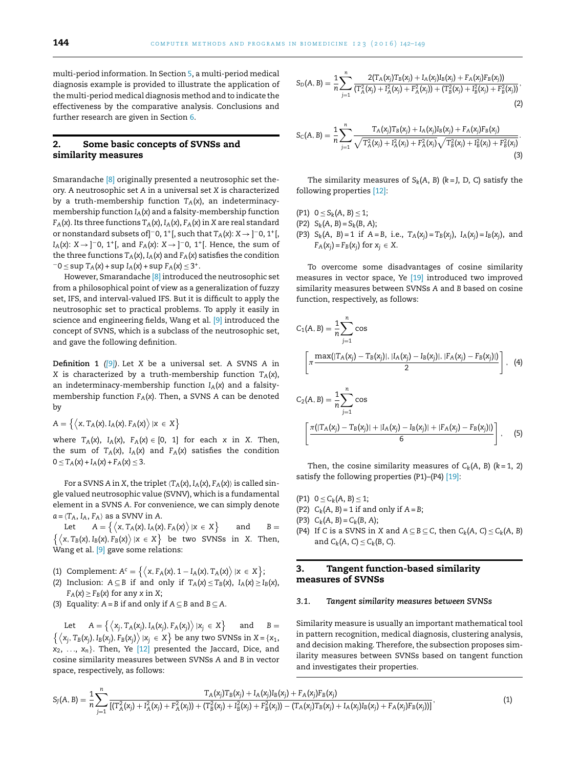<span id="page-2-0"></span>multi-period information. In Section [5,](#page-5-0) a multi-period medical diagnosis example is provided to illustrate the application of the multi-period medical diagnosis method and to indicate the effectiveness by the comparative analysis. Conclusions and further research are given in Section [6.](#page-6-0)

# **2. Some basic concepts of SVNSs and similarity measures**

Smarandache [\[8\]](#page-7-0) originally presented a neutrosophic set theory. A neutrosophic set *A* in a universal set *X* is characterized by a truth-membership function  $T_A(x)$ , an indeterminacymembership function  $I_A(x)$  and a falsity-membership function *F<sub>A</sub>*(*x*). Its three functions  $T_A(x)$ ,  $I_A(x)$ ,  $F_A(x)$  in *X* are real standard or nonstandard subsets of]−0, 1+[, such that *TA*(*x*): *<sup>X</sup>*→] <sup>−</sup>0, 1+[, *IA*(*x*): *X*→] <sup>−</sup>0, 1+[, and *FA*(*x*): *<sup>X</sup>*→] <sup>−</sup>0, 1+[. Hence, the sum of the three functions  $T_A(x)$ ,  $I_A(x)$  and  $F_A(x)$  satisfies the condition  $-0$  ≤ sup  $T_A(x)$  + sup  $I_A(x)$  + sup  $F_A(x)$  ≤ 3<sup>+</sup>.

However, Smarandache [\[8\]](#page-7-0) introduced the neutrosophic set from a philosophical point of view as a generalization of fuzzy set, IFS, and interval-valued IFS. But it is difficult to apply the neutrosophic set to practical problems. To apply it easily in science and engineering fields, Wang et al. [\[9\]](#page-7-0) introduced the concept of SVNS, which is a subclass of the neutrosophic set, and gave the following definition.

**Definition 1** *[\(\[9\]\)](#page-7-0)*. Let *X* be a universal set. A SVNS *A* in *X* is characterized by a truth-membership function  $T_A(x)$ , an indeterminacy-membership function  $I_A(x)$  and a falsitymembership function *FA*(*x*). Then, a SVNS *A* can be denoted by

$$
A = \left\{ \left\langle x, T_A(x), I_A(x), F_A(x) \right\rangle | x \in X \right\}
$$

where  $T_A(x)$ ,  $I_A(x)$ ,  $F_A(x) \in [0, 1]$  for each *x* in *X*. Then, the sum of  $T_A(x)$ ,  $I_A(x)$  and  $F_A(x)$  satisfies the condition  $0 \le T_A(x) + I_A(x) + F_A(x) \le 3.$ 

For a SVNS A in *X*, the triplet  $\langle T_A(x), I_A(x), F_A(x) \rangle$  is called single valued neutrosophic value (SVNV), which is a fundamental element in a SVNS *A*. For convenience, we can simply denote  $a = \langle T_A, I_A, F_A \rangle$  as a SVNV in *A*.

Let  $A = \left\{ \left\langle x, T_A(x), I_A(x), F_A(x) \right\rangle | x \in X \right\}$ and  $B =$  $\left\{ \left\langle x,T_{B}(x),I_{B}(x),F_{B}(x)\right\rangle |x\in X\right\}$  be two SVNSs in *X*. Then, Wang et al. [\[9\]](#page-7-0) gave some relations:

- (1) Complement:  $A^c = \left\{ \left\langle x, F_A(x), 1 I_A(x), T_A(x) \right\rangle | x \in X \right\};$
- (2) Inclusion:  $A \subseteq B$  if and only if  $T_A(x) \le T_B(x)$ ,  $I_A(x) \ge I_B(x)$ ,  $F_A(x) \geq F_B(x)$  for any *x* in *X*;
- (3) Equality:  $A = B$  if and only if  $A \subseteq B$  and  $B \subseteq A$ .

Let  $A = \left\{ \left\langle x_j, T_A(x_j), I_A(x_j), F_A(x_j) \right\rangle | x_j \right. \in X \right.$ and  $B =$  $\left\{ \left\langle x_j, T_B(x_j), I_B(x_j), F_B(x_j) \right\rangle | x_j \in X \right\}$  be any two SVNSs in  $X = \{x_1,$  $x_2$ , ...,  $x_n$ }. Then, Ye  $[12]$  presented the Jaccard, Dice, and cosine similarity measures between SVNSs *A* and *B* in vector space, respectively, as follows:

$$
S_D(A, B) = \frac{1}{n} \sum_{j=1}^n \frac{2(T_A(x_j)T_B(x_j) + I_A(x_j)I_B(x_j) + F_A(x_j)F_B(x_j))}{(T_A^2(x_j) + I_A^2(x_j) + F_A^2(x_j)) + (T_B^2(x_j) + I_B^2(x_j) + F_B^2(x_j))},
$$
\n(2)

$$
S_{C}(A, B) = \frac{1}{n} \sum_{j=1}^{n} \frac{T_{A}(x_{j}) T_{B}(x_{j}) + I_{A}(x_{j}) I_{B}(x_{j}) + F_{A}(x_{j}) F_{B}(x_{j})}{\sqrt{T_{A}^{2}(x_{j}) + I_{A}^{2}(x_{j}) + F_{A}^{2}(x_{j})} \sqrt{T_{B}^{2}(x_{j}) + I_{B}^{2}(x_{j}) + F_{B}^{2}(x_{j})}}.
$$
\n(3)

The similarity measures of  $S_k(A, B)$  ( $k = J$ , D, C) satisfy the following properties [\[12\]:](#page-7-0)

- $(P1)$   $0 \leq S_k(A, B) \leq 1$ ;
- $(P2)$   $S_k(A, B) = S_k(B, A);$
- (P3)  $S_k(A, B) = 1$  if  $A = B$ , i.e.,  $T_A(x_i) = T_B(x_i)$ ,  $I_A(x_i) = I_B(x_i)$ , and  $F_A(x_i) = F_B(x_i)$  for  $x_i \in X$ .

To overcome some disadvantages of cosine similarity measures in vector space, Ye [\[19\]](#page-7-0) introduced two improved similarity measures between SVNSs *A* and *B* based on cosine function, respectively, as follows:

$$
C_{1}(A, B) = \frac{1}{n} \sum_{j=1}^{n} \cos \left[ \pi \frac{\max(|T_{A}(x_{j}) - T_{B}(x_{j})|, |I_{A}(x_{j}) - I_{B}(x_{j})|, |F_{A}(x_{j}) - F_{B}(x_{j})|)}{2} \right], \quad (4)
$$
  

$$
C_{2}(A, B) = \frac{1}{n} \sum_{j=1}^{n} \cos \left[ \frac{\pi(|T_{A}(x_{j}) - T_{B}(x_{j})| + |I_{A}(x_{j}) - I_{B}(x_{j})| + |F_{A}(x_{j}) - F_{B}(x_{j})|)}{6} \right], \quad (5)
$$

Then, the cosine similarity measures of  $C_k(A, B)$  ( $k = 1, 2$ ) satisfy the following properties (P1)–(P4) [\[19\]:](#page-7-0)

- $(P1)$   $0 \le C_k(A, B) \le 1;$
- (P2)  $C_k(A, B) = 1$  if and only if  $A = B$ ;
- $(P3)$   $C_k(A, B) = C_k(B, A);$
- (P4) If *C* is a SVNS in *X* and  $A \subseteq B \subseteq C$ , then  $C_k(A, C) \leq C_k(A, B)$ and  $C_k(A, C) \leq C_k(B, C)$ .

## **3. Tangent function-based similarity measures of SVNSs**

#### *3.1. Tangent similarity measures between SVNSs*

Similarity measure is usually an important mathematical tool in pattern recognition, medical diagnosis, clustering analysis, and decision making. Therefore, the subsection proposes similarity measures between SVNSs based on tangent function and investigates their properties.

$$
S_{J}(A, B) = \frac{1}{n} \sum_{j=1}^{n} \frac{T_{A}(x_{j})T_{B}(x_{j}) + I_{A}(x_{j})I_{B}(x_{j}) + F_{A}(x_{j})F_{B}(x_{j})}{[(T_{A}^{2}(x_{j}) + T_{A}^{2}(x_{j}) + T_{A}^{2}(x_{j})) + (T_{B}^{2}(x_{j}) + T_{B}^{2}(x_{j}) + F_{B}^{2}(x_{j})) - (T_{A}(x_{j})T_{B}(x_{j}) + I_{A}(x_{j})I_{B}(x_{j}) + F_{A}(x_{j})F_{B}(x_{j}))]},
$$
\n(1)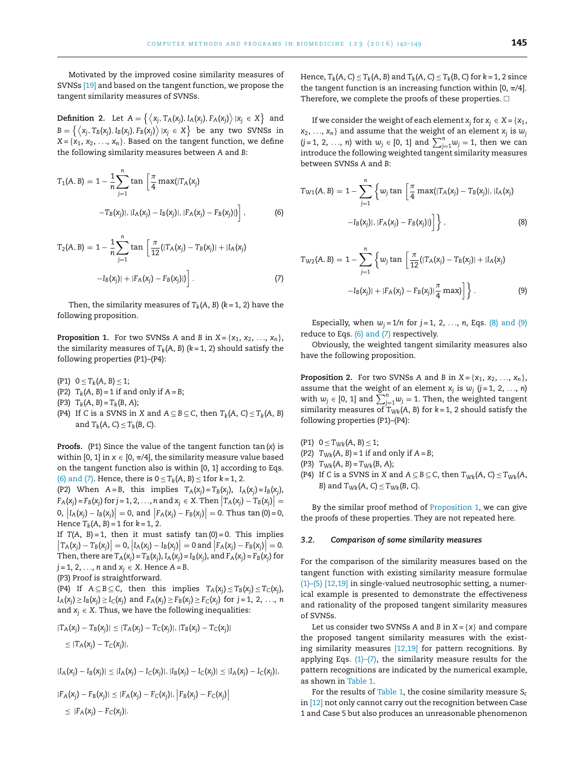<span id="page-3-0"></span>Motivated by the improved cosine similarity measures of SVNSs [\[19\]](#page-7-0) and based on the tangent function, we propose the tangent similarity measures of SVNSs.

**Definition 2.** Let  $A = \{ \langle x_j, T_A(x_j), I_A(x_j), F_A(x_j) \rangle | x_j \in X \}$  and  $\texttt{B} = \left\{\left \langle \texttt{x}_j, \texttt{T}_\texttt{B}(\texttt{x}_j), \texttt{I}_\texttt{B}(\texttt{x}_j), \texttt{F}_\texttt{B}(\texttt{x}_j) \right \rangle | \texttt{x}_j\ \in\ \texttt{X} \right\}$  be any two SVNSs in  $X = \{x_1, x_2, \ldots, x_n\}$ . Based on the tangent function, we define the following similarity measures between *A* and *B*:

$$
T_1(A, B) = 1 - \frac{1}{n} \sum_{j=1}^n \tan \left[ \frac{\pi}{4} \max(|T_A(x_j)| - T_B(x_j)|, |I_A(x_j) - I_B(x_j)|, |F_A(x_j) - F_B(x_j)|) \right],
$$
 (6)

$$
T_2(A, B) = 1 - \frac{1}{n} \sum_{j=1}^n \tan \left[ \frac{\pi}{12} (|T_A(x_j) - T_B(x_j)| + |I_A(x_j) - I_B(x_j)| + |F_A(x_j) - F_B(x_j)|) \right].
$$
 (7)

Then, the similarity measures of  $T_k(A, B)$  ( $k = 1, 2$ ) have the following proposition.

**Proposition 1.** For two SVNSs *A* and *B* in  $X = \{x_1, x_2, ..., x_n\}$ , the similarity measures of  $T_k(A, B)$  ( $k = 1, 2$ ) should satisfy the following properties (P1)–(P4):

- $(P1)$   $0 \le T_k(A, B) \le 1;$
- (P2)  $T_k(A, B) = 1$  if and only if  $A = B$ ;
- $(T_{k}(A, B) = T_{k}(B, A);$
- (P4) If *C* is a SVNS in *X* and  $A \subseteq B \subseteq C$ , then  $T_k(A, C) \le T_k(A, B)$ and  $T_k(A, C) \leq T_k(B, C)$ .

**Proofs.** (P1) Since the value of the tangent function tan(*x*) is within  $[0, 1]$  in  $x \in [0, \pi/4]$ , the similarity measure value based on the tangent function also is within [0, 1] according to Eqs. (6) and (7). Hence, there is  $0 \le T_k(A, B) \le 1$  for  $k = 1, 2$ .

(P2) When  $A = B$ , this implies  $T_A(x_i) = T_B(x_i)$ ,  $I_A(x_i) = I_B(x_i)$ ,  $F_A(x_j) = F_B(x_j)$  for  $j = 1, 2, \ldots, n$  and  $x_j \in X$ . Then  $\left|T_A(x_j) - T_B(x_j)\right| =$  $\left| \begin{matrix} 0, & |I_A(x_j) - I_B(x_j)| = 0, \text{ and } |F_A(x_j) - F_B(x_j)| = 0. \text{ Thus } \tan(0) = 0, \end{matrix} \right|$ Hence  $T_k(A, B) = 1$  for  $k = 1, 2$ .

If  $T(A, B) = 1$ , then it must satisfy  $\tan(0) = 0$ . This implies  $\left|T_A(x_j) - T_B(x_j)\right| = 0, \left|I_A(x_j) - I_B(x_j)\right| = 0 \text{ and } \left|F_A(x_j) - F_B(x_j)\right| = 0.$ <br>Then there are  $T_A(x) - T_A(x) I_A(x) - I_B(x)$  and  $F_A(x) - F_B(x)$  for  $A = 0$ . Then, there are  $T_A(x_j) = T_B(x_j)$ ,  $I_A(x_j) = I_B(x_j)$ , and  $F_A(x_j) = F_B(x_j)$  for *j* = 1, 2, . . ., *n* and *xj* ∈ *X*. Hence *A* = *B*.

(P3) Proof is straightforward.

(P4) If  $A \subseteq B \subseteq C$ , then this implies  $T_A(x_j) \le T_B(x_j) \le T_C(x_j)$ ,  $I_A(x_i) \geq I_B(x_i) \geq I_C(x_i)$  and  $F_A(x_i) \geq F_B(x_i) \geq F_C(x_i)$  for  $j = 1, 2, ..., n$ and  $x_j \in X$ . Thus, we have the following inequalities:

$$
|T_A(x_j) - T_B(x_j)| \le |T_A(x_j) - T_C(x_j)|, |T_B(x_j) - T_C(x_j)|
$$
  

$$
\le |T_A(x_j) - T_C(x_j)|,
$$

$$
|I_A(x_j)-I_B(x_j)|\leq |I_A(x_j)-I_C(x_j)|,\, |I_B(x_j)-I_C(x_j)|\leq |I_A(x_j)-I_C(x_j)|,
$$

$$
|F_A(x_j) - F_B(x_j)| \le |F_A(x_j) - F_C(x_j)|, |F_B(x_j) - F_C(x_j)|
$$
  

$$
\le |F_A(x_j) - F_C(x_j)|.
$$

Hence,  $T_k(A, C) \le T_k(A, B)$  and  $T_k(A, C) \le T_k(B, C)$  for  $k = 1, 2$  since the tangent function is an increasing function within [0,  $\pi/4$ ]. Therefore, we complete the proofs of these properties.  $\Box$ 

If we consider the weight of each element  $x_i$  for  $x_j \in X = \{x_1,$  $x_2, \ldots, x_n$ } and assume that the weight of an element  $x_i$  is  $w_i$ (*j* = 1, 2, ..., *n*) with  $w_j \in [0, 1]$  and  $\sum_{j=1}^{n} w_j = 1$ , then we can introduce the following weighted tangent similarity measures between SVNSs *A* and *B*:

$$
T_{\rm W1}(A, B) = 1 - \sum_{j=1}^{n} \left\{ w_j \tan \left[ \frac{\pi}{4} \max(|T_A(x_j) - T_B(x_j)|, |I_A(x_j) - I_B(x_j)|, |F_A(x_j) - F_B(x_j)|) \right] \right\},
$$
\n(8)

$$
T_{W2}(A, B) = 1 - \sum_{j=1}^{n} \left\{ w_j \tan \left[ \frac{\pi}{12} (|T_A(x_j) - T_B(x_j)| + |I_A(x_j) - I_B(x_j)| + |F_A(x_j) - F_B(x_j)| \frac{\pi}{4} \max) \right] \right\}.
$$
 (9)

Especially, when  $w_i = 1/n$  for  $j = 1, 2, ..., n$ , Eqs. (8) and (9) reduce to Eqs.  $(6)$  and  $(7)$  respectively.

Obviously, the weighted tangent similarity measures also have the following proposition.

**Proposition 2.** For two SVNSs A and *B* in  $X = \{x_1, x_2, ..., x_n\}$ , assume that the weight of an element  $x_i$  is  $w_i$  ( $j = 1, 2, ..., n$ ) with  $w_j \in [0, 1]$  and  $\sum_{j=1}^n w_j = 1$ . Then, the weighted tangent similarity measures of  $T_{Wk}(A, B)$  for  $k = 1$ , 2 should satisfy the following properties (P1)–(P4):

- $(P1)$   $0 \leq T_{Wk}(A, B) \leq 1$ ;
- $(TP2)$   $T_{Wk}(A, B) = 1$  if and only if  $A = B$ ;
- $(T_{Wk}(A, B) = T_{Wk}(B, A);$
- (P4) If *C* is a SVNS in *X* and  $A \subseteq B \subseteq C$ , then  $T_{Wk}(A, C) \leq T_{Wk}(A, C)$ *B*) and  $T_{Wk}(A, C) \le T_{Wk}(B, C)$ .

By the similar proof method of Proposition 1, we can give the proofs of these properties. They are not repeated here.

#### *3.2. Comparison of some similarity measures*

For the comparison of the similarity measures based on the tangent function with existing similarity measure formulae [\(1\)–\(5\)](#page-2-0) [\[12,19\]](#page-7-0) in single-valued neutrosophic setting, a numerical example is presented to demonstrate the effectiveness and rationality of the proposed tangent similarity measures of SVNSs.

Let us consider two SVNSs A and *B* in  $X = \{x\}$  and compare the proposed tangent similarity measures with the existing similarity measures [\[12,19\]](#page-7-0) for pattern recognitions. By applying Eqs.  $(1)$ – $(7)$ , the similarity measure results for the pattern recognitions are indicated by the numerical example, as shown in [Table](#page-4-0) 1.

For the results of [Table](#page-4-0) 1, the cosine similarity measure *Sc* in [\[12\]](#page-7-0) not only cannot carry out the recognition between Case 1 and Case 5 but also produces an unreasonable phenomenon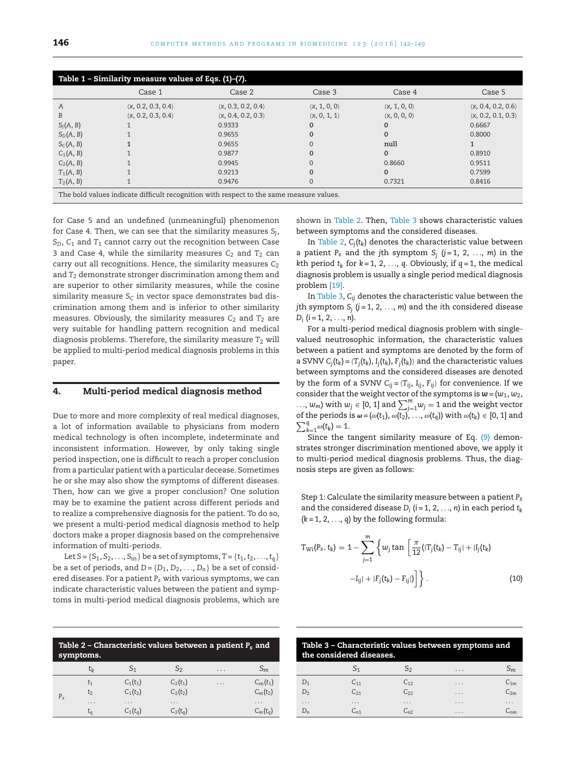<span id="page-4-0"></span>

| Table $1$ – Similarity measure values of Eqs. (1)-(7).                                  |                                    |                                    |                              |                              |                                    |  |
|-----------------------------------------------------------------------------------------|------------------------------------|------------------------------------|------------------------------|------------------------------|------------------------------------|--|
|                                                                                         | Case 1                             | Case 2                             | Case 3                       | Case 4                       | Case 5                             |  |
| A                                                                                       | $\langle x, 0.2, 0.3, 0.4 \rangle$ | $\langle x, 0.3, 0.2, 0.4 \rangle$ | $\langle x, 1, 0, 0 \rangle$ | $\langle x, 1, 0, 0 \rangle$ | $\langle x, 0.4, 0.2, 0.6 \rangle$ |  |
| B                                                                                       | $\langle x, 0.2, 0.3, 0.4 \rangle$ | $\langle x, 0.4, 0.2, 0.3 \rangle$ | $\langle x, 0, 1, 1 \rangle$ | $\langle x, 0, 0, 0 \rangle$ | $\langle x, 0.2, 0.1, 0.3 \rangle$ |  |
| $S_J(A, B)$                                                                             |                                    | 0.9333                             | $\Omega$                     |                              | 0.6667                             |  |
| $S_D(A, B)$                                                                             |                                    | 0.9655                             |                              | $\Omega$                     | 0.8000                             |  |
| $S_C(A, B)$                                                                             |                                    | 0.9655                             |                              | null                         |                                    |  |
| $C_1(A, B)$                                                                             |                                    | 0.9877                             |                              | $\Omega$                     | 0.8910                             |  |
| $C_2(A, B)$                                                                             |                                    | 0.9945                             |                              | 0.8660                       | 0.9511                             |  |
| $T_1(A, B)$                                                                             |                                    | 0.9213                             |                              | $\Omega$                     | 0.7599                             |  |
| $T_2(A, B)$                                                                             |                                    | 0.9476                             |                              | 0.7321                       | 0.8416                             |  |
| The bold values indicate difficult recognition with respect to the same measure values. |                                    |                                    |                              |                              |                                    |  |

for Case 5 and an undefined (unmeaningful) phenomenon for Case 4. Then, we can see that the similarity measures *SJ*, *SD*, *C*<sup>1</sup> and *T*<sup>1</sup> cannot carry out the recognition between Case 3 and Case 4, while the similarity measures  $C_2$  and  $T_2$  can carry out all recognitions. Hence, the similarity measures *C*<sup>2</sup> and *T*<sup>2</sup> demonstrate stronger discrimination among them and are superior to other similarity measures, while the cosine similarity measure S<sub>C</sub> in vector space demonstrates bad discrimination among them and is inferior to other similarity measures. Obviously, the similarity measures  $C_2$  and  $T_2$  are very suitable for handling pattern recognition and medical diagnosis problems. Therefore, the similarity measure  $T_2$  will be applied to multi-period medical diagnosis problems in this paper.

## **4. Multi-period medical diagnosis method**

Due to more and more complexity of real medical diagnoses, a lot of information available to physicians from modern medical technology is often incomplete, indeterminate and inconsistent information. However, by only taking single period inspection, one is difficult to reach a proper conclusion from a particular patient with a particular decease. Sometimes he or she may also show the symptoms of different diseases. Then, how can we give a proper conclusion? One solution may be to examine the patient across different periods and to realize a comprehensive diagnosis for the patient. To do so, we present a multi-period medical diagnosis method to help doctors make a proper diagnosis based on the comprehensive information of multi-periods.

Let *S* = { $S_1$ ,  $S_2$ , . . .,  $S_m$ } be a set of symptoms, *T* = { $t_1$ ,  $t_2$ , . . .,  $t_q$ } be a set of periods, and  $D = \{D_1, D_2, \ldots, D_n\}$  be a set of considered diseases. For a patient *Ps* with various symptoms, we can indicate characteristic values between the patient and symptoms in multi-period medical diagnosis problems, which are

| Table 2 – Characteristic values between a patient $P_s$ and<br>symptoms. |                |                         |                         |                         |                         |  |  |
|--------------------------------------------------------------------------|----------------|-------------------------|-------------------------|-------------------------|-------------------------|--|--|
|                                                                          | tr             | $\mathrm{S}_1$          | $S_2$                   | $\cdot$ $\cdot$ $\cdot$ | $S_m$                   |  |  |
| $P_{\rm s}$                                                              | t <sub>1</sub> | $C_1(t_1)$              | $C_2(t_1)$              | $\cdots$                | $C_m(t_1)$              |  |  |
|                                                                          | t2             | $C_1(t_2)$              | $C_2(t_2)$              |                         | $C_m(t_2)$              |  |  |
|                                                                          | $\cdots$       | $\cdot$ $\cdot$ $\cdot$ | $\cdot$ $\cdot$ $\cdot$ |                         | $\cdot$ $\cdot$ $\cdot$ |  |  |
|                                                                          | t <sub>a</sub> | $C_1(t_a)$              | $C_2(t_a)$              |                         | $C_m(t_a)$              |  |  |

shown in Table 2. Then, Table 3 shows characteristic values between symptoms and the considered diseases.

In Table 2,  $C_j(t_k)$  denotes the characteristic value between a patient  $P_s$  and the *j*th symptom  $S_j$  (*j* = 1, 2, ..., *m*) in the *k*th period  $t_k$  for  $k = 1, 2, ..., q$ . Obviously, if  $q = 1$ , the medical diagnosis problem is usually a single period medical diagnosis problem [\[19\].](#page-7-0)

In Table 3, *Cij* denotes the characteristic value between the *j*th symptom *Sj* (*j* = 1, 2, . . ., *m*) and the *i*th considered disease *Di* (*i* = 1, 2, . . ., *n*).

For a multi-period medical diagnosis problem with singlevalued neutrosophic information, the characteristic values between a patient and symptoms are denoted by the form of a SVNV  $C_i(t_k) = \langle T_i(t_k), I_j(t_k), F_j(t_k) \rangle$  and the characteristic values between symptoms and the considered diseases are denoted by the form of a SVNV  $C_{ij} = \langle T_{ij}, I_{ij}, F_{ij} \rangle$  for convenience. If we consider that the weight vector of the symptoms is  $w = (w_1, w_2,$ ...,  $w_m$ ) with  $w_j$  ∈ [0, 1] and  $\sum_{j=1}^{m} w_j = 1$  and the weight vector of the periods is  $\omega = (\omega(t_1), \omega(t_2), \ldots, \omega(t_q))$  with  $\omega(t_k) \in [0, 1]$  and  $\sum_{k=1}^{q} \omega(t_k) = 1.$ 

Since the tangent similarity measure of Eq. [\(9\)](#page-3-0) demonstrates stronger discrimination mentioned above, we apply it to multi-period medical diagnosis problems. Thus, the diagnosis steps are given as follows:

Step 1: Calculate the similarity measure between a patient *Ps* and the considered disease  $D_i$  ( $i = 1, 2, ..., n$ ) in each period  $t_k$  $(k = 1, 2, \ldots, q)$  by the following formula:

$$
T_{Wi}(P_s, t_k) = 1 - \sum_{j=1}^{m} \left\{ w_j \tan \left[ \frac{\pi}{12} (|T_j(t_k) - T_{ij}| + |I_j(t_k) - I_{ij}| + |F_j(t_k) - F_{ij}|) \right] \right\}.
$$
 (10)

| Table 3 - Characteristic values between symptoms and<br>the considered diseases. |                         |            |                         |          |  |  |
|----------------------------------------------------------------------------------|-------------------------|------------|-------------------------|----------|--|--|
|                                                                                  | S <sub>1</sub>          | S2         | $\cdot$ $\cdot$ $\cdot$ | $S_m$    |  |  |
| $D_1$                                                                            | $C_{11}$                | $C_{12}$   | $\cdots$                | $C_{1m}$ |  |  |
| D <sub>2</sub>                                                                   | $C_{21}$                | $C_{22}$   | $\cdots$                | $C_{2m}$ |  |  |
| $\cdot$ $\cdot$ $\cdot$                                                          | $\cdot$ $\cdot$ $\cdot$ | $\cdots$   | $\cdots$                | $\cdots$ |  |  |
|                                                                                  | Ln1                     | $\cup_{n}$ | $\cdots$                |          |  |  |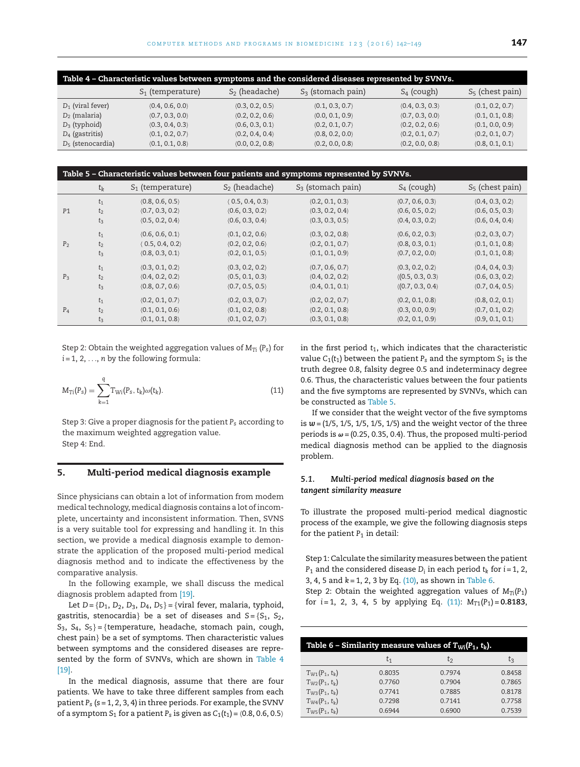<span id="page-5-0"></span>

| Table 4 – Characteristic values between symptoms and the considered diseases represented by SVNVs. |                     |                  |                      |                 |                   |  |  |
|----------------------------------------------------------------------------------------------------|---------------------|------------------|----------------------|-----------------|-------------------|--|--|
|                                                                                                    | $S_1$ (temperature) | $S_2$ (headache) | $S_3$ (stomach pain) | $S_4$ (cough)   | $S5$ (chest pain) |  |  |
| $D_1$ (viral fever)                                                                                | (0.4, 0.6, 0.0)     | (0.3, 0.2, 0.5)  | (0.1, 0.3, 0.7)      | (0.4, 0.3, 0.3) | (0.1, 0.2, 0.7)   |  |  |
| $D_2$ (malaria)                                                                                    | (0.7, 0.3, 0.0)     | (0.2, 0.2, 0.6)  | (0.0, 0.1, 0.9)      | (0.7, 0.3, 0.0) | (0.1, 0.1, 0.8)   |  |  |
| $D_3$ (typhoid)                                                                                    | (0.3, 0.4, 0.3)     | (0.6, 0.3, 0.1)  | (0.2, 0.1, 0.7)      | (0.2, 0.2, 0.6) | (0.1, 0.0, 0.9)   |  |  |
| $D_4$ (gastritis)                                                                                  | (0.1, 0.2, 0.7)     | (0.2, 0.4, 0.4)  | (0.8, 0.2, 0.0)      | (0.2, 0.1, 0.7) | (0.2, 0.1, 0.7)   |  |  |
| $D_5$ (stenocardia)                                                                                | (0.1, 0.1, 0.8)     | (0.0, 0.2, 0.8)  | (0.2, 0.0, 0.8)      | (0.2, 0.0, 0.8) | (0.8, 0.1, 0.1)   |  |  |

| Table 5 - Characteristic values between four patients and symptoms represented by SVNVs. |                |                     |                  |                      |                 |                   |  |
|------------------------------------------------------------------------------------------|----------------|---------------------|------------------|----------------------|-----------------|-------------------|--|
|                                                                                          | $t_{k}$        | $S_1$ (temperature) | $S_2$ (headache) | $S_3$ (stomach pain) | $S_4$ (cough)   | $S5$ (chest pain) |  |
|                                                                                          | $t_1$          | (0.8, 0.6, 0.5)     | (0.5, 0.4, 0.3)  | (0.2, 0.1, 0.3)      | (0.7, 0.6, 0.3) | (0.4, 0.3, 0.2)   |  |
| P1                                                                                       | t <sub>2</sub> | (0.7, 0.3, 0.2)     | (0.6, 0.3, 0.2)  | (0.3, 0.2, 0.4)      | (0.6, 0.5, 0.2) | (0.6, 0.5, 0.3)   |  |
|                                                                                          | $t_3$          | (0.5, 0.2, 0.4)     | (0.6, 0.3, 0.4)  | (0.3, 0.3, 0.5)      | (0.4, 0.3, 0.2) | (0.6, 0.4, 0.4)   |  |
|                                                                                          | $t_1$          | (0.6, 0.6, 0.1)     | (0.1, 0.2, 0.6)  | (0.3, 0.2, 0.8)      | (0.6, 0.2, 0.3) | (0.2, 0.3, 0.7)   |  |
| P <sub>2</sub>                                                                           | t <sub>2</sub> | (0.5, 0.4, 0.2)     | (0.2, 0.2, 0.6)  | (0.2, 0.1, 0.7)      | (0.8, 0.3, 0.1) | (0.1, 0.1, 0.8)   |  |
|                                                                                          | $t_3$          | (0.8, 0.3, 0.1)     | (0.2, 0.1, 0.5)  | (0.1, 0.1, 0.9)      | (0.7, 0.2, 0.0) | (0.1, 0.1, 0.8)   |  |
|                                                                                          | $t_1$          | (0.3, 0.1, 0.2)     | (0.3, 0.2, 0.2)  | (0.7, 0.6, 0.7)      | (0.3, 0.2, 0.2) | (0.4, 0.4, 0.3)   |  |
| $P_3$                                                                                    | t <sub>2</sub> | (0.4, 0.2, 0.2)     | (0.5, 0.1, 0.3)  | (0.4, 0.2, 0.2)      | (0.5, 0.3, 0.3) | (0.6, 0.3, 0.2)   |  |
|                                                                                          | $t_3$          | (0.8, 0.7, 0.6)     | (0.7, 0.5, 0.5)  | (0.4, 0.1, 0.1)      | (0.7, 0.3, 0.4) | (0.7, 0.4, 0.5)   |  |
|                                                                                          | t <sub>1</sub> | (0.2, 0.1, 0.7)     | (0.2, 0.3, 0.7)  | (0.2, 0.2, 0.7)      | (0.2, 0.1, 0.8) | (0.8, 0.2, 0.1)   |  |
| $P_4$                                                                                    | t <sub>2</sub> | (0.1, 0.1, 0.6)     | (0.1, 0.2, 0.8)  | (0.2, 0.1, 0.8)      | (0.3, 0.0, 0.9) | (0.7, 0.1, 0.2)   |  |
|                                                                                          | $t_3$          | (0.1, 0.1, 0.8)     | (0.1, 0.2, 0.7)  | (0.3, 0.1, 0.8)      | (0.2, 0.1, 0.9) | (0.9, 0.1, 0.1)   |  |

Step 2: Obtain the weighted aggregation values of  $M_{\text{Ti}}$  ( $P_s$ ) for  $i = 1, 2, \ldots, n$  by the following formula:

$$
M_{Ti}(P_s) = \sum_{k=1}^{q} T_{Wi}(P_s, t_k) \omega(t_k).
$$
 (11)

Step 3: Give a proper diagnosis for the patient *Ps* according to the maximum weighted aggregation value. Step 4: End.

# **5. Multi-period medical diagnosis example**

Since physicians can obtain a lot of information from modem medical technology, medical diagnosis contains a lot of incomplete, uncertainty and inconsistent information. Then, SVNS is a very suitable tool for expressing and handling it. In this section, we provide a medical diagnosis example to demonstrate the application of the proposed multi-period medical diagnosis method and to indicate the effectiveness by the comparative analysis.

In the following example, we shall discuss the medical diagnosis problem adapted from [\[19\].](#page-7-0)

Let  $D = \{D_1, D_2, D_3, D_4, D_5\} = \{$ viral fever, malaria, typhoid, gastritis, stenocardia} be a set of diseases and  $S = \{S_1, S_2,$ *S*3, *S*4, *S*5} = {temperature, headache, stomach pain, cough, chest pain} be a set of symptoms. Then characteristic values between symptoms and the considered diseases are represented by the form of SVNVs, which are shown in Table 4 [\[19\].](#page-7-0)

In the medical diagnosis, assume that there are four patients. We have to take three different samples from each patient *Ps* (*s* = 1, 2, 3, 4) in three periods. For example, the SVNV of a symptom  $S_1$  for a patient  $P_s$  is given as  $C_1(t_1) = (0.8, 0.6, 0.5)$  in the first period  $t_1$ , which indicates that the characteristic value  $C_1(t_1)$  between the patient  $P_s$  and the symptom  $S_1$  is the truth degree 0.8, falsity degree 0.5 and indeterminacy degree 0.6. Thus, the characteristic values between the four patients and the five symptoms are represented by SVNVs, which can be constructed as Table 5.

If we consider that the weight vector of the five symptoms is *w* = (1/5, 1/5, 1/5, 1/5, 1/5) and the weight vector of the three periods is **ω** = (0.25, 0.35, 0.4). Thus, the proposed multi-period medical diagnosis method can be applied to the diagnosis problem.

#### *5.1. Multi-period medical diagnosis based on the tangent similarity measure*

To illustrate the proposed multi-period medical diagnostic process of the example, we give the following diagnosis steps for the patient  $P_1$  in detail:

Step 1: Calculate the similarity measures between the patient  $P_1$  and the considered disease  $D_i$  in each period  $t_k$  for *i* = 1, 2, 3, 4, 5 and *k =* 1, 2, 3 by Eq. [\(10\),](#page-4-0) as shown in Table 6. Step 2: Obtain the weighted aggregation values of  $M_{Ti}(P_1)$ for  $i = 1, 2, 3, 4, 5$  by applying Eq. (11):  $M_{T1}(P_1) = 0.8183$ ,

| Table 6 - Similarity measure values of $T_{Wi}(P_1, t_k)$ . |                |        |        |  |  |  |  |
|-------------------------------------------------------------|----------------|--------|--------|--|--|--|--|
|                                                             | t <sub>1</sub> | t٥     | tз     |  |  |  |  |
| $T_{W1}(P_1, t_k)$                                          | 0.8035         | 0.7974 | 0.8458 |  |  |  |  |
| $T_{W2}(P_1, t_k)$                                          | 0.7760         | 0.7904 | 0.7865 |  |  |  |  |
| $T_{W3}(P_1, t_k)$                                          | 0.7741         | 0.7885 | 0.8178 |  |  |  |  |
| $T_{W4}(P_1, t_k)$                                          | 0.7298         | 0.7141 | 0.7758 |  |  |  |  |
| $T_{W5}(P_1, t_k)$                                          | 0.6944         | 0.6900 | 0.7539 |  |  |  |  |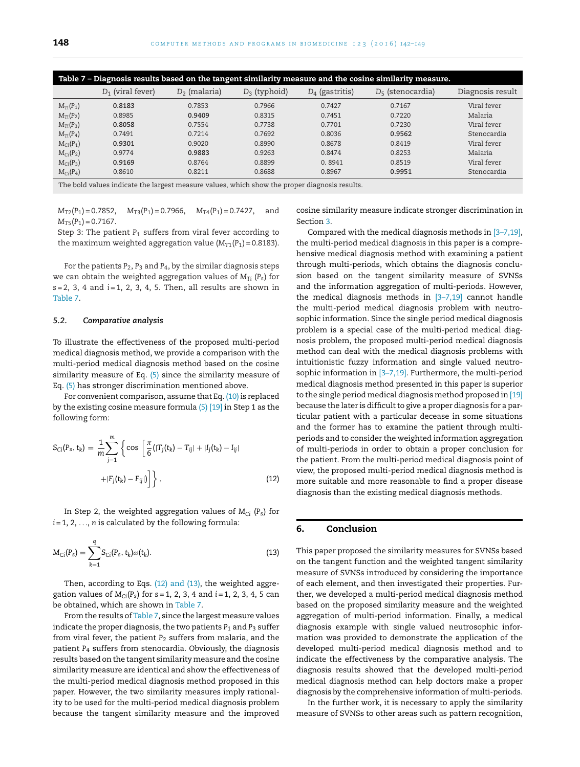<span id="page-6-0"></span>

| Table 7 - Diagnosis results based on the tangent similarity measure and the cosine similarity measure. |                     |                 |                 |                   |                     |                  |  |
|--------------------------------------------------------------------------------------------------------|---------------------|-----------------|-----------------|-------------------|---------------------|------------------|--|
|                                                                                                        | $D_1$ (viral fever) | $D_2$ (malaria) | $D_3$ (typhoid) | $D_4$ (gastritis) | $D_5$ (stenocardia) | Diagnosis result |  |
| $M_{Ti}(P_1)$                                                                                          | 0.8183              | 0.7853          | 0.7966          | 0.7427            | 0.7167              | Viral fever      |  |
| $M_{Ti}(P_2)$                                                                                          | 0.8985              | 0.9409          | 0.8315          | 0.7451            | 0.7220              | Malaria          |  |
| $M_{Ti}(P_3)$                                                                                          | 0.8058              | 0.7554          | 0.7738          | 0.7701            | 0.7230              | Viral fever      |  |
| $M_{Ti}(P_4)$                                                                                          | 0.7491              | 0.7214          | 0.7692          | 0.8036            | 0.9562              | Stenocardia      |  |
| $M_{\text{Ci}}(P_1)$                                                                                   | 0.9301              | 0.9020          | 0.8990          | 0.8678            | 0.8419              | Viral fever      |  |
| $M_{Ci}(P_2)$                                                                                          | 0.9774              | 0.9883          | 0.9263          | 0.8474            | 0.8253              | Malaria          |  |
| $M_{Ci}(P_3)$                                                                                          | 0.9169              | 0.8764          | 0.8899          | 0.8941            | 0.8519              | Viral fever      |  |
| $M_{Ci}(P_4)$                                                                                          | 0.8610              | 0.8211          | 0.8688          | 0.8967            | 0.9951              | Stenocardia      |  |
| The bold values indicate the largest measure values, which show the proper diagnosis results.          |                     |                 |                 |                   |                     |                  |  |

*MT*2(*P*1) = 0.7852, *MT*3(*P*1) = 0.7966, *MT*4(*P*1) = 0.7427, and  $M_{T5}(P_1) = 0.7167$ .

Step 3: The patient  $P_1$  suffers from viral fever according to the maximum weighted aggregation value  $(M_{T1}(P_1) = 0.8183)$ .

For the patients  $P_2$ ,  $P_3$  and  $P_4$ , by the similar diagnosis steps we can obtain the weighted aggregation values of  $M_{\text{Ti}}$  ( $P_s$ ) for *s* = 2, 3, 4 and *i* = 1, 2, 3, 4, 5. Then, all results are shown in Table 7.

#### *5.2. Comparative analysis*

To illustrate the effectiveness of the proposed multi-period medical diagnosis method, we provide a comparison with the multi-period medical diagnosis method based on the cosine similarity measure of Eq. [\(5\)](#page-2-0) since the similarity measure of Eq. [\(5\)](#page-2-0) has stronger discrimination mentioned above.

For convenient comparison, assume that Eq. [\(10\)](#page-4-0) is replaced by the existing cosine measure formula [\(5\)](#page-2-0) [\[19\]](#page-7-0) in Step 1 as the following form:

$$
S_{Ci}(P_s, t_k) = \frac{1}{m} \sum_{j=1}^{m} \left\{ \cos \left[ \frac{\pi}{6} (|T_j(t_k) - T_{ij}| + |I_j(t_k) - I_{ij}| + |F_j(t_k) - F_{ij}|) \right] \right\},
$$
\n(12)

In Step 2, the weighted aggregation values of  $M<sub>Ci</sub>$  (P<sub>s</sub>) for *i* = 1, 2, . . ., *n* is calculated by the following formula:

$$
M_{Ci}(P_s) = \sum_{k=1}^{q} S_{Ci}(P_s, t_k) \omega(t_k).
$$
 (13)

Then, according to Eqs. (12) and (13), the weighted aggregation values of  $M_{Ci}(P_s)$  for  $s = 1, 2, 3, 4$  and  $i = 1, 2, 3, 4, 5$  can be obtained, which are shown in Table 7.

From the results of Table 7, since the largest measure values indicate the proper diagnosis, the two patients  $P_1$  and  $P_3$  suffer from viral fever, the patient *P*<sup>2</sup> suffers from malaria, and the patient *P*<sup>4</sup> suffers from stenocardia. Obviously, the diagnosis results based on the tangent similarity measure and the cosine similarity measure are identical and show the effectiveness of the multi-period medical diagnosis method proposed in this paper. However, the two similarity measures imply rationality to be used for the multi-period medical diagnosis problem because the tangent similarity measure and the improved cosine similarity measure indicate stronger discrimination in Section [3.](#page-2-0)

Compared with the medical diagnosis methods in [\[3–7,19\],](#page-7-0) the multi-period medical diagnosis in this paper is a comprehensive medical diagnosis method with examining a patient through multi-periods, which obtains the diagnosis conclusion based on the tangent similarity measure of SVNSs and the information aggregation of multi-periods. However, the medical diagnosis methods in [\[3–7,19\]](#page-7-0) cannot handle the multi-period medical diagnosis problem with neutrosophic information. Since the single period medical diagnosis problem is a special case of the multi-period medical diagnosis problem, the proposed multi-period medical diagnosis method can deal with the medical diagnosis problems with intuitionistic fuzzy information and single valued neutrosophic information in [\[3–7,19\].](#page-7-0) Furthermore, the multi-period medical diagnosis method presented in this paper is superior to the single period medical diagnosis method proposed in [\[19\]](#page-7-0) because the later is difficult to give a proper diagnosis for a particular patient with a particular decease in some situations and the former has to examine the patient through multiperiods and to consider the weighted information aggregation of multi-periods in order to obtain a proper conclusion for the patient. From the multi-period medical diagnosis point of view, the proposed multi-period medical diagnosis method is more suitable and more reasonable to find a proper disease diagnosis than the existing medical diagnosis methods.

## **6. Conclusion**

This paper proposed the similarity measures for SVNSs based on the tangent function and the weighted tangent similarity measure of SVNSs introduced by considering the importance of each element, and then investigated their properties. Further, we developed a multi-period medical diagnosis method based on the proposed similarity measure and the weighted aggregation of multi-period information. Finally, a medical diagnosis example with single valued neutrosophic information was provided to demonstrate the application of the developed multi-period medical diagnosis method and to indicate the effectiveness by the comparative analysis. The diagnosis results showed that the developed multi-period medical diagnosis method can help doctors make a proper diagnosis by the comprehensive information of multi-periods.

In the further work, it is necessary to apply the similarity measure of SVNSs to other areas such as pattern recognition,